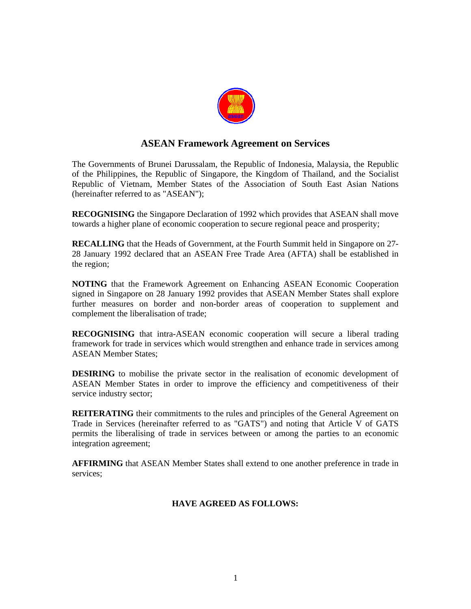

# **ASEAN Framework Agreement on Services**

The Governments of Brunei Darussalam, the Republic of Indonesia, Malaysia, the Republic of the Philippines, the Republic of Singapore, the Kingdom of Thailand, and the Socialist Republic of Vietnam, Member States of the Association of South East Asian Nations (hereinafter referred to as "ASEAN");

**RECOGNISING** the Singapore Declaration of 1992 which provides that ASEAN shall move towards a higher plane of economic cooperation to secure regional peace and prosperity;

**RECALLING** that the Heads of Government, at the Fourth Summit held in Singapore on 27- 28 January 1992 declared that an ASEAN Free Trade Area (AFTA) shall be established in the region;

**NOTING** that the Framework Agreement on Enhancing ASEAN Economic Cooperation signed in Singapore on 28 January 1992 provides that ASEAN Member States shall explore further measures on border and non-border areas of cooperation to supplement and complement the liberalisation of trade;

**RECOGNISING** that intra-ASEAN economic cooperation will secure a liberal trading framework for trade in services which would strengthen and enhance trade in services among ASEAN Member States;

**DESIRING** to mobilise the private sector in the realisation of economic development of ASEAN Member States in order to improve the efficiency and competitiveness of their service industry sector;

**REITERATING** their commitments to the rules and principles of the General Agreement on Trade in Services (hereinafter referred to as "GATS") and noting that Article V of GATS permits the liberalising of trade in services between or among the parties to an economic integration agreement;

**AFFIRMING** that ASEAN Member States shall extend to one another preference in trade in services;

# **HAVE AGREED AS FOLLOWS:**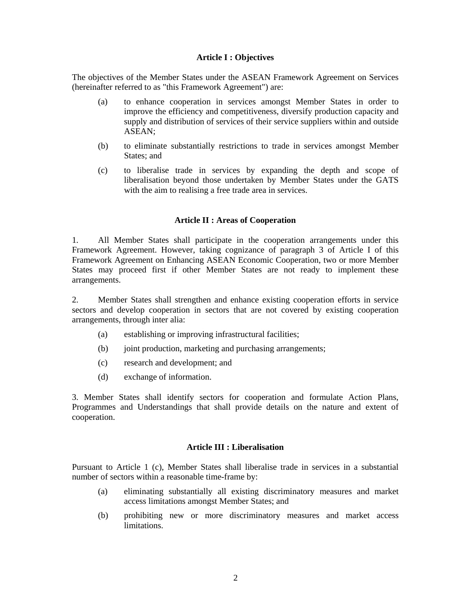#### **Article I : Objectives**

The objectives of the Member States under the ASEAN Framework Agreement on Services (hereinafter referred to as "this Framework Agreement") are:

- (a) to enhance cooperation in services amongst Member States in order to improve the efficiency and competitiveness, diversify production capacity and supply and distribution of services of their service suppliers within and outside ASEAN;
- (b) to eliminate substantially restrictions to trade in services amongst Member States; and
- (c) to liberalise trade in services by expanding the depth and scope of liberalisation beyond those undertaken by Member States under the GATS with the aim to realising a free trade area in services.

#### **Article II : Areas of Cooperation**

1. All Member States shall participate in the cooperation arrangements under this Framework Agreement. However, taking cognizance of paragraph 3 of Article I of this Framework Agreement on Enhancing ASEAN Economic Cooperation, two or more Member States may proceed first if other Member States are not ready to implement these arrangements.

2. Member States shall strengthen and enhance existing cooperation efforts in service sectors and develop cooperation in sectors that are not covered by existing cooperation arrangements, through inter alia:

- (a) establishing or improving infrastructural facilities;
- (b) joint production, marketing and purchasing arrangements;
- (c) research and development; and
- (d) exchange of information.

3. Member States shall identify sectors for cooperation and formulate Action Plans, Programmes and Understandings that shall provide details on the nature and extent of cooperation.

#### **Article III : Liberalisation**

Pursuant to Article 1 (c), Member States shall liberalise trade in services in a substantial number of sectors within a reasonable time-frame by:

- (a) eliminating substantially all existing discriminatory measures and market access limitations amongst Member States; and
- (b) prohibiting new or more discriminatory measures and market access limitations.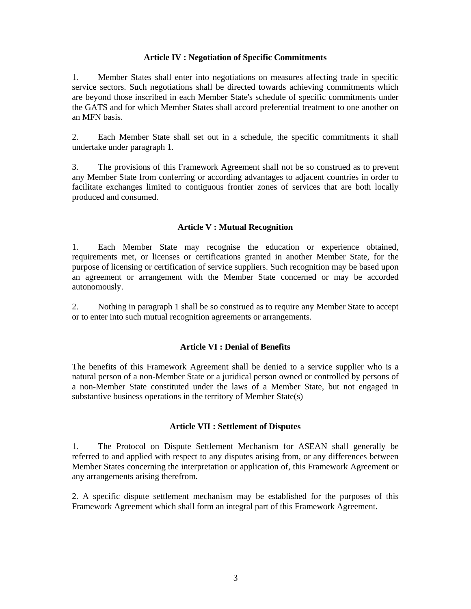## **Article IV : Negotiation of Specific Commitments**

1. Member States shall enter into negotiations on measures affecting trade in specific service sectors. Such negotiations shall be directed towards achieving commitments which are beyond those inscribed in each Member State's schedule of specific commitments under the GATS and for which Member States shall accord preferential treatment to one another on an MFN basis.

2. Each Member State shall set out in a schedule, the specific commitments it shall undertake under paragraph 1.

3. The provisions of this Framework Agreement shall not be so construed as to prevent any Member State from conferring or according advantages to adjacent countries in order to facilitate exchanges limited to contiguous frontier zones of services that are both locally produced and consumed.

#### **Article V : Mutual Recognition**

1. Each Member State may recognise the education or experience obtained, requirements met, or licenses or certifications granted in another Member State, for the purpose of licensing or certification of service suppliers. Such recognition may be based upon an agreement or arrangement with the Member State concerned or may be accorded autonomously.

2. Nothing in paragraph 1 shall be so construed as to require any Member State to accept or to enter into such mutual recognition agreements or arrangements.

## **Article VI : Denial of Benefits**

The benefits of this Framework Agreement shall be denied to a service supplier who is a natural person of a non-Member State or a juridical person owned or controlled by persons of a non-Member State constituted under the laws of a Member State, but not engaged in substantive business operations in the territory of Member State(s)

## **Article VII : Settlement of Disputes**

1. The Protocol on Dispute Settlement Mechanism for ASEAN shall generally be referred to and applied with respect to any disputes arising from, or any differences between Member States concerning the interpretation or application of, this Framework Agreement or any arrangements arising therefrom.

2. A specific dispute settlement mechanism may be established for the purposes of this Framework Agreement which shall form an integral part of this Framework Agreement.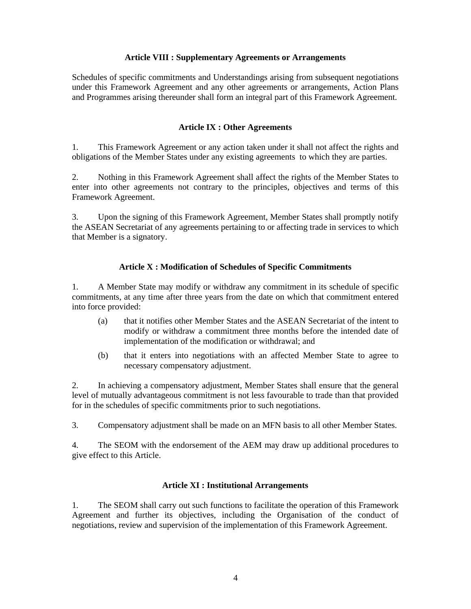# **Article VIII : Supplementary Agreements or Arrangements**

Schedules of specific commitments and Understandings arising from subsequent negotiations under this Framework Agreement and any other agreements or arrangements, Action Plans and Programmes arising thereunder shall form an integral part of this Framework Agreement.

## **Article IX : Other Agreements**

1. This Framework Agreement or any action taken under it shall not affect the rights and obligations of the Member States under any existing agreements to which they are parties.

2. Nothing in this Framework Agreement shall affect the rights of the Member States to enter into other agreements not contrary to the principles, objectives and terms of this Framework Agreement.

3. Upon the signing of this Framework Agreement, Member States shall promptly notify the ASEAN Secretariat of any agreements pertaining to or affecting trade in services to which that Member is a signatory.

# **Article X : Modification of Schedules of Specific Commitments**

1. A Member State may modify or withdraw any commitment in its schedule of specific commitments, at any time after three years from the date on which that commitment entered into force provided:

- (a) that it notifies other Member States and the ASEAN Secretariat of the intent to modify or withdraw a commitment three months before the intended date of implementation of the modification or withdrawal; and
- (b) that it enters into negotiations with an affected Member State to agree to necessary compensatory adjustment.

2. In achieving a compensatory adjustment, Member States shall ensure that the general level of mutually advantageous commitment is not less favourable to trade than that provided for in the schedules of specific commitments prior to such negotiations.

3. Compensatory adjustment shall be made on an MFN basis to all other Member States.

4. The SEOM with the endorsement of the AEM may draw up additional procedures to give effect to this Article.

## **Article XI : Institutional Arrangements**

1. The SEOM shall carry out such functions to facilitate the operation of this Framework Agreement and further its objectives, including the Organisation of the conduct of negotiations, review and supervision of the implementation of this Framework Agreement.